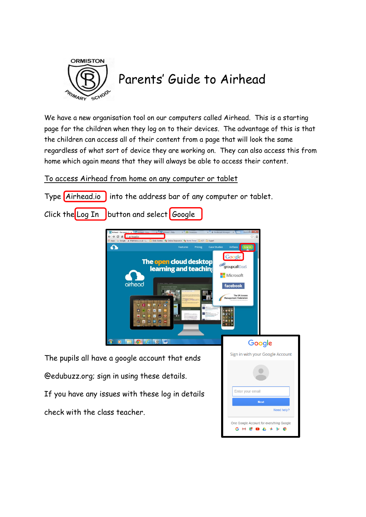

## Parents' Guide to Airhead

We have a new organisation tool on our computers called Airhead. This is a starting page for the children when they log on to their devices. The advantage of this is that the children can access all of their content from a page that will look the same regardless of what sort of device they are working on. They can also access this from home which again means that they will always be able to access their content.

## To access Airhead from home on any computer or tablet

Type <mark>(Airhead.io )</mark> into the address bar of any computer or tablet.

Click the Log In button and select  $\cos \theta$ 



Enter your email

One Google Account for everything Google G M & **D A + b 0** 

Need help?

The pupils all have a google account that ends @edubuzz.org; sign in using these details. If you have any issues with these log in details check with the class teacher.